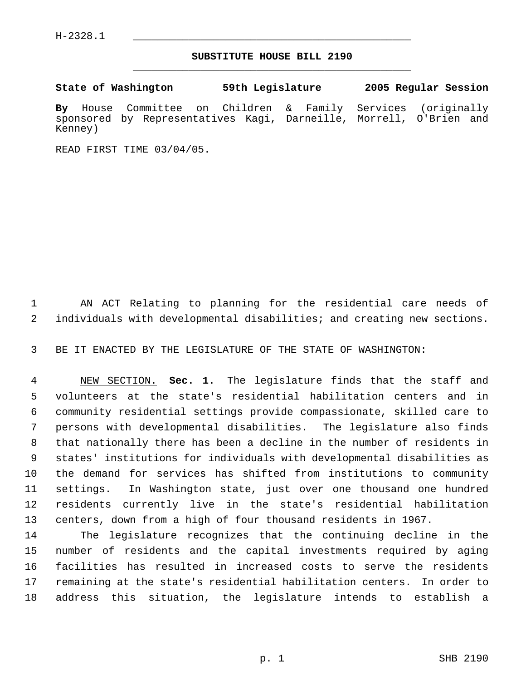H-2328.1 \_\_\_\_\_\_\_\_\_\_\_\_\_\_\_\_\_\_\_\_\_\_\_\_\_\_\_\_\_\_\_\_\_\_\_\_\_\_\_\_\_\_\_\_\_

## **SUBSTITUTE HOUSE BILL 2190** \_\_\_\_\_\_\_\_\_\_\_\_\_\_\_\_\_\_\_\_\_\_\_\_\_\_\_\_\_\_\_\_\_\_\_\_\_\_\_\_\_\_\_\_\_

**State of Washington 59th Legislature 2005 Regular Session By** House Committee on Children & Family Services (originally sponsored by Representatives Kagi, Darneille, Morrell, O'Brien and Kenney)

READ FIRST TIME 03/04/05.

 AN ACT Relating to planning for the residential care needs of individuals with developmental disabilities; and creating new sections.

BE IT ENACTED BY THE LEGISLATURE OF THE STATE OF WASHINGTON:

 NEW SECTION. **Sec. 1.** The legislature finds that the staff and volunteers at the state's residential habilitation centers and in community residential settings provide compassionate, skilled care to persons with developmental disabilities. The legislature also finds that nationally there has been a decline in the number of residents in states' institutions for individuals with developmental disabilities as the demand for services has shifted from institutions to community settings. In Washington state, just over one thousand one hundred residents currently live in the state's residential habilitation centers, down from a high of four thousand residents in 1967.

 The legislature recognizes that the continuing decline in the number of residents and the capital investments required by aging facilities has resulted in increased costs to serve the residents remaining at the state's residential habilitation centers. In order to address this situation, the legislature intends to establish a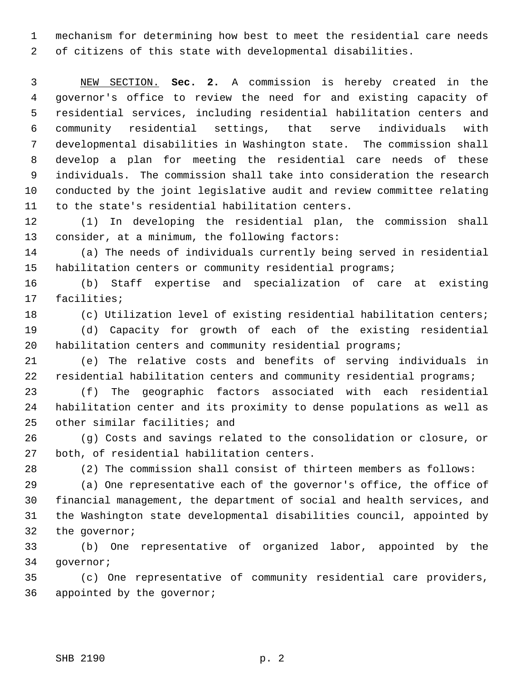mechanism for determining how best to meet the residential care needs of citizens of this state with developmental disabilities.

 NEW SECTION. **Sec. 2.** A commission is hereby created in the governor's office to review the need for and existing capacity of residential services, including residential habilitation centers and community residential settings, that serve individuals with developmental disabilities in Washington state. The commission shall develop a plan for meeting the residential care needs of these individuals. The commission shall take into consideration the research conducted by the joint legislative audit and review committee relating to the state's residential habilitation centers.

 (1) In developing the residential plan, the commission shall consider, at a minimum, the following factors:

 (a) The needs of individuals currently being served in residential habilitation centers or community residential programs;

 (b) Staff expertise and specialization of care at existing facilities;

 (c) Utilization level of existing residential habilitation centers; (d) Capacity for growth of each of the existing residential

habilitation centers and community residential programs;

 (e) The relative costs and benefits of serving individuals in residential habilitation centers and community residential programs;

 (f) The geographic factors associated with each residential habilitation center and its proximity to dense populations as well as other similar facilities; and

 (g) Costs and savings related to the consolidation or closure, or both, of residential habilitation centers.

(2) The commission shall consist of thirteen members as follows:

 (a) One representative each of the governor's office, the office of financial management, the department of social and health services, and the Washington state developmental disabilities council, appointed by the governor;

 (b) One representative of organized labor, appointed by the governor;

 (c) One representative of community residential care providers, appointed by the governor;